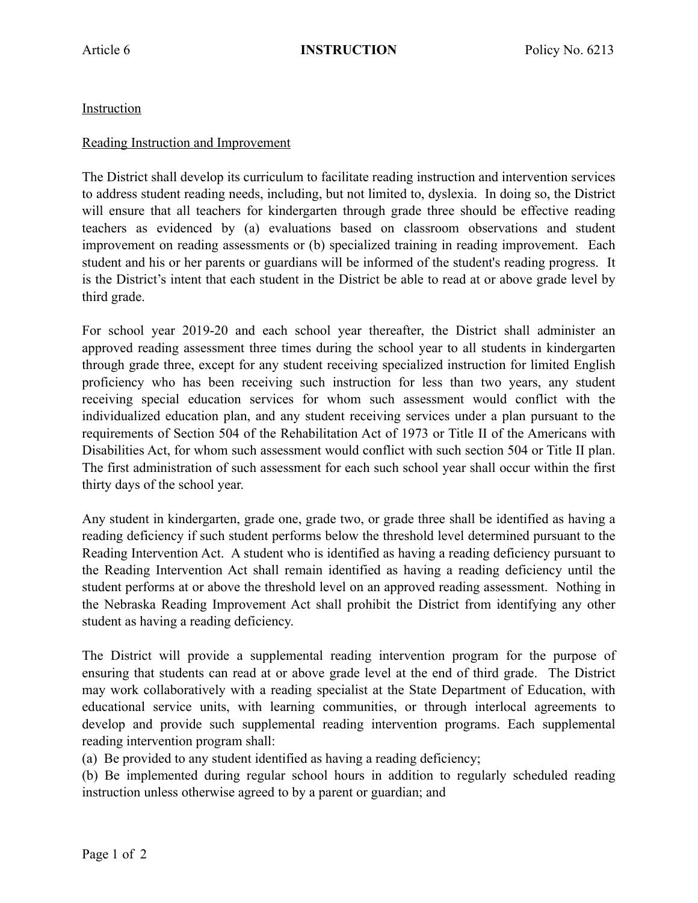## Instruction

## Reading Instruction and Improvement

The District shall develop its curriculum to facilitate reading instruction and intervention services to address student reading needs, including, but not limited to, dyslexia. In doing so, the District will ensure that all teachers for kindergarten through grade three should be effective reading teachers as evidenced by (a) evaluations based on classroom observations and student improvement on reading assessments or (b) specialized training in reading improvement. Each student and his or her parents or guardians will be informed of the student's reading progress. It is the District's intent that each student in the District be able to read at or above grade level by third grade.

For school year 2019-20 and each school year thereafter, the District shall administer an approved reading assessment three times during the school year to all students in kindergarten through grade three, except for any student receiving specialized instruction for limited English proficiency who has been receiving such instruction for less than two years, any student receiving special education services for whom such assessment would conflict with the individualized education plan, and any student receiving services under a plan pursuant to the requirements of Section 504 of the Rehabilitation Act of 1973 or Title II of the Americans with Disabilities Act, for whom such assessment would conflict with such section 504 or Title II plan. The first administration of such assessment for each such school year shall occur within the first thirty days of the school year.

Any student in kindergarten, grade one, grade two, or grade three shall be identified as having a reading deficiency if such student performs below the threshold level determined pursuant to the Reading Intervention Act. A student who is identified as having a reading deficiency pursuant to the Reading Intervention Act shall remain identified as having a reading deficiency until the student performs at or above the threshold level on an approved reading assessment. Nothing in the Nebraska Reading Improvement Act shall prohibit the District from identifying any other student as having a reading deficiency.

The District will provide a supplemental reading intervention program for the purpose of ensuring that students can read at or above grade level at the end of third grade. The District may work collaboratively with a reading specialist at the State Department of Education, with educational service units, with learning communities, or through interlocal agreements to develop and provide such supplemental reading intervention programs. Each supplemental reading intervention program shall:

(a) Be provided to any student identified as having a reading deficiency;

(b) Be implemented during regular school hours in addition to regularly scheduled reading instruction unless otherwise agreed to by a parent or guardian; and